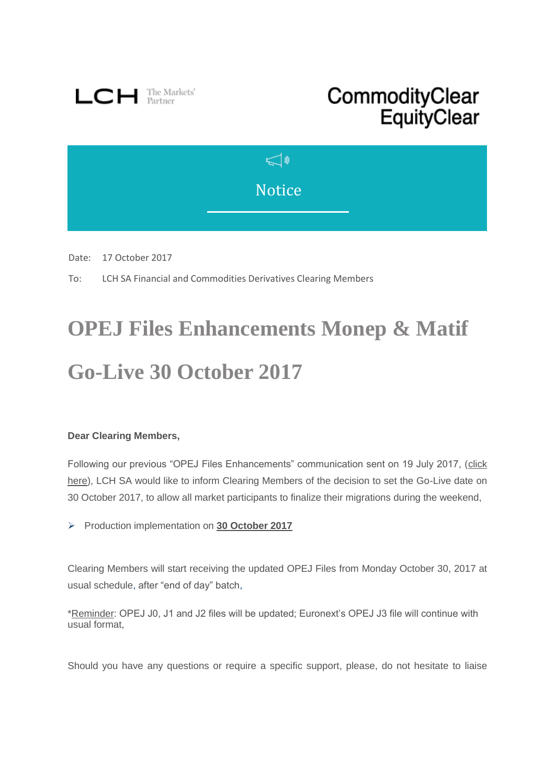

## CommodityClear EquityClear



Date: 17 October 2017

To: LCH SA Financial and Commodities Derivatives Clearing Members

## **OPEJ Files Enhancements Monep & Matif Go-Live 30 October 2017**

## **Dear Clearing Members,**

Following our previous "OPEJ Files Enhancements" communication sent on 19 July 2017, [\(click](http://www.lch.com/documents/731485/762769/lch-sa-bulletin-opej-files-enhancements-test-platform-open.pdf/be1fe93f-0904-4ba1-a420-f34719cccbe0)  [here\)](http://www.lch.com/documents/731485/762769/lch-sa-bulletin-opej-files-enhancements-test-platform-open.pdf/be1fe93f-0904-4ba1-a420-f34719cccbe0), LCH SA would like to inform Clearing Members of the decision to set the Go-Live date on 30 October 2017, to allow all market participants to finalize their migrations during the weekend,

Production implementation on **30 October 2017** 

Clearing Members will start receiving the updated OPEJ Files from Monday October 30, 2017 at usual schedule, after "end of day" batch,

\*Reminder: OPEJ J0, J1 and J2 files will be updated; Euronext's OPEJ J3 file will continue with usual format,

Should you have any questions or require a specific support, please, do not hesitate to liaise